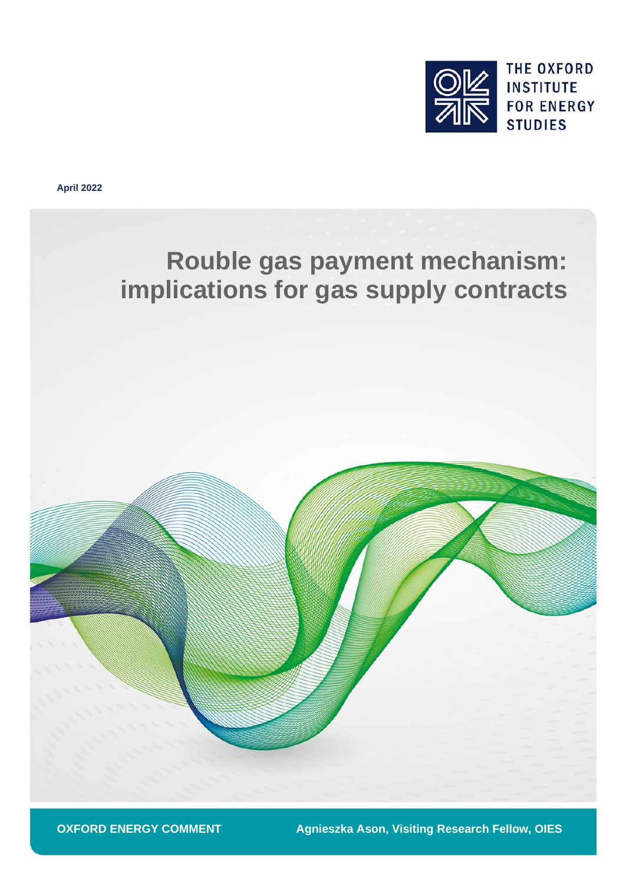

**April 2022**



**OXFORD ENERGY COMMENT Agnieszka Ason, Visiting Research Fellow, OIES**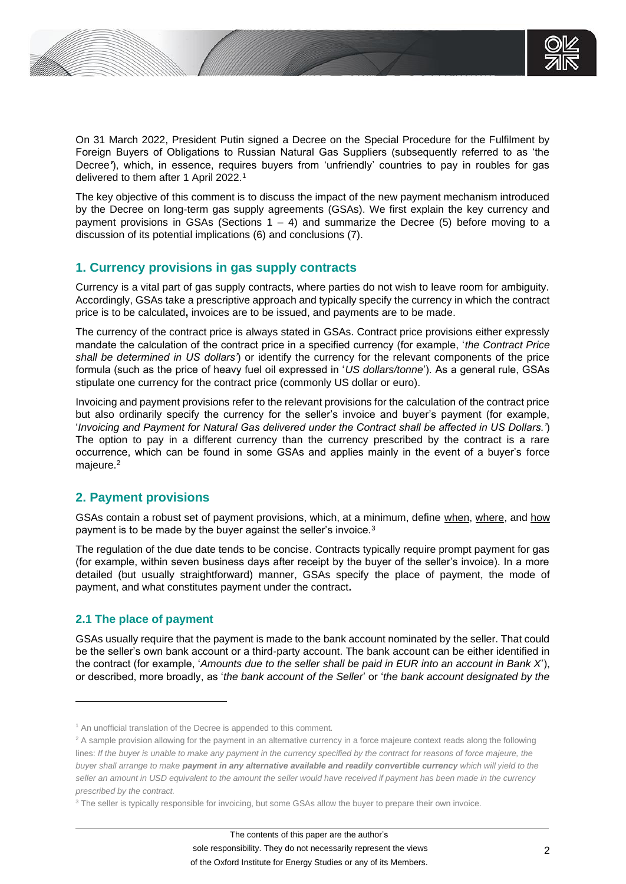

On 31 March 2022, President Putin signed a Decree on the Special Procedure for the Fulfilment by Foreign Buyers of Obligations to Russian Natural Gas Suppliers (subsequently referred to as 'the Decree*'*), which, in essence, requires buyers from 'unfriendly' countries to pay in roubles for gas delivered to them after 1 April 2022.<sup>1</sup>

The key objective of this comment is to discuss the impact of the new payment mechanism introduced by the Decree on long-term gas supply agreements (GSAs). We first explain the key currency and payment provisions in GSAs (Sections  $1 - 4$ ) and summarize the Decree (5) before moving to a discussion of its potential implications (6) and conclusions (7).

# **1. Currency provisions in gas supply contracts**

Currency is a vital part of gas supply contracts, where parties do not wish to leave room for ambiguity. Accordingly, GSAs take a prescriptive approach and typically specify the currency in which the contract price is to be calculated**,** invoices are to be issued, and payments are to be made.

The currency of the contract price is always stated in GSAs. Contract price provisions either expressly mandate the calculation of the contract price in a specified currency (for example, '*the Contract Price shall be determined in US dollars'*) or identify the currency for the relevant components of the price formula (such as the price of heavy fuel oil expressed in '*US dollars/tonne*'). As a general rule, GSAs stipulate one currency for the contract price (commonly US dollar or euro).

Invoicing and payment provisions refer to the relevant provisions for the calculation of the contract price but also ordinarily specify the currency for the seller's invoice and buyer's payment (for example, '*Invoicing and Payment for Natural Gas delivered under the Contract shall be affected in US Dollars.'*) The option to pay in a different currency than the currency prescribed by the contract is a rare occurrence, which can be found in some GSAs and applies mainly in the event of a buyer's force majeure.<sup>2</sup>

# **2. Payment provisions**

GSAs contain a robust set of payment provisions, which, at a minimum, define when, where, and how payment is to be made by the buyer against the seller's invoice.<sup>3</sup>

The regulation of the due date tends to be concise. Contracts typically require prompt payment for gas (for example, within seven business days after receipt by the buyer of the seller's invoice). In a more detailed (but usually straightforward) manner, GSAs specify the place of payment, the mode of payment, and what constitutes payment under the contract**.**

## **2.1 The place of payment**

GSAs usually require that the payment is made to the bank account nominated by the seller. That could be the seller's own bank account or a third-party account. The bank account can be either identified in the contract (for example, '*Amounts due to the seller shall be paid in EUR into an account in Bank X*'), or described, more broadly, as '*the bank account of the Seller*' or '*the bank account designated by the* 

<sup>&</sup>lt;sup>1</sup> An unofficial translation of the Decree is appended to this comment.

<sup>&</sup>lt;sup>2</sup> A sample provision allowing for the payment in an alternative currency in a force majeure context reads along the following lines: *If the buyer is unable to make any payment in the currency specified by the contract for reasons of force majeure, the buyer shall arrange to make payment in any alternative available and readily convertible currency which will yield to the seller an amount in USD equivalent to the amount the seller would have received if payment has been made in the currency prescribed by the contract.*

<sup>&</sup>lt;sup>3</sup> The seller is typically responsible for invoicing, but some GSAs allow the buyer to prepare their own invoice.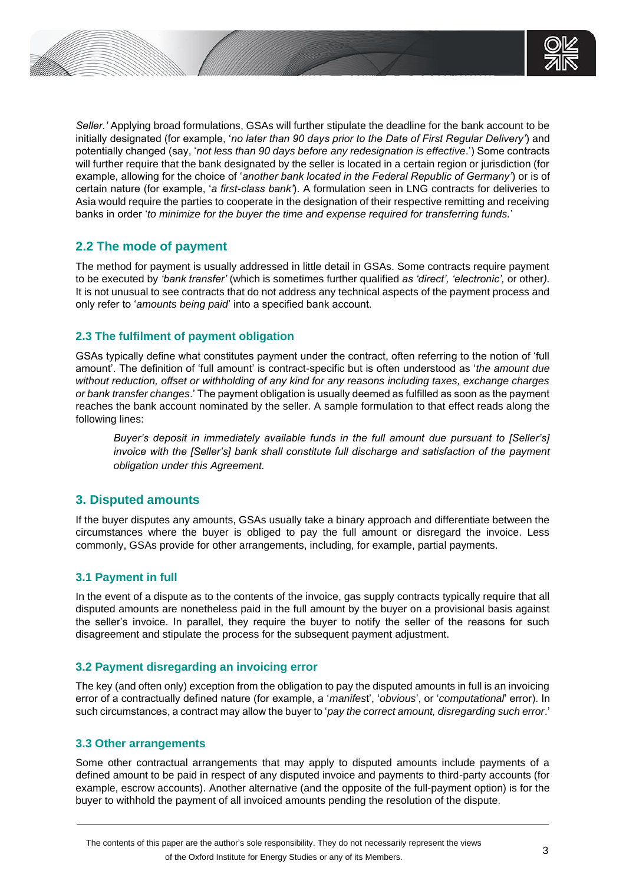

*Seller.'* Applying broad formulations, GSAs will further stipulate the deadline for the bank account to be initially designated (for example, '*no later than 90 days prior to the Date of First Regular Delivery'*) and potentially changed (say, '*not less than 90 days before any redesignation is effective*.') Some contracts will further require that the bank designated by the seller is located in a certain region or jurisdiction (for example, allowing for the choice of '*another bank located in the Federal Republic of Germany'*) or is of certain nature (for example, '*a first-class bank'*). A formulation seen in LNG contracts for deliveries to Asia would require the parties to cooperate in the designation of their respective remitting and receiving banks in order '*to minimize for the buyer the time and expense required for transferring funds.*'

# **2.2 The mode of payment**

The method for payment is usually addressed in little detail in GSAs. Some contracts require payment to be executed by *'bank transfer'* (which is sometimes further qualified *as 'direct', 'electronic',* or other*).*  It is not unusual to see contracts that do not address any technical aspects of the payment process and only refer to '*amounts being paid*' into a specified bank account.

## **2.3 The fulfilment of payment obligation**

GSAs typically define what constitutes payment under the contract, often referring to the notion of 'full amount'. The definition of 'full amount' is contract-specific but is often understood as '*the amount due without reduction, offset or withholding of any kind for any reasons including taxes, exchange charges or bank transfer changes*.' The payment obligation is usually deemed as fulfilled as soon as the payment reaches the bank account nominated by the seller. A sample formulation to that effect reads along the following lines:

*Buyer's deposit in immediately available funds in the full amount due pursuant to [Seller's] invoice with the [Seller's] bank shall constitute full discharge and satisfaction of the payment obligation under this Agreement.*

## **3. Disputed amounts**

If the buyer disputes any amounts, GSAs usually take a binary approach and differentiate between the circumstances where the buyer is obliged to pay the full amount or disregard the invoice. Less commonly, GSAs provide for other arrangements, including, for example, partial payments.

## **3.1 Payment in full**

In the event of a dispute as to the contents of the invoice, gas supply contracts typically require that all disputed amounts are nonetheless paid in the full amount by the buyer on a provisional basis against the seller's invoice. In parallel, they require the buyer to notify the seller of the reasons for such disagreement and stipulate the process for the subsequent payment adjustment.

## **3.2 Payment disregarding an invoicing error**

The key (and often only) exception from the obligation to pay the disputed amounts in full is an invoicing error of a contractually defined nature (for example, a '*manifes*t', '*obvious*', or '*computational*' error). In such circumstances, a contract may allow the buyer to '*pay the correct amount, disregarding such error*.'

### **3.3 Other arrangements**

Some other contractual arrangements that may apply to disputed amounts include payments of a defined amount to be paid in respect of any disputed invoice and payments to third-party accounts (for example, escrow accounts). Another alternative (and the opposite of the full-payment option) is for the buyer to withhold the payment of all invoiced amounts pending the resolution of the dispute.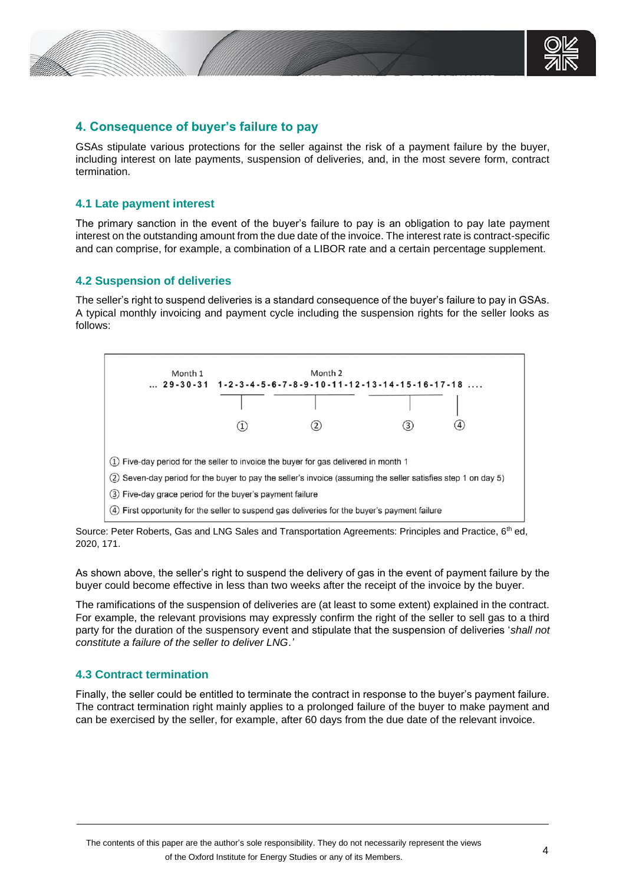

### **4. Consequence of buyer's failure to pay**

GSAs stipulate various protections for the seller against the risk of a payment failure by the buyer, including interest on late payments, suspension of deliveries, and, in the most severe form, contract termination.

#### **4.1 Late payment interest**

The primary sanction in the event of the buyer's failure to pay is an obligation to pay late payment interest on the outstanding amount from the due date of the invoice. The interest rate is contract-specific and can comprise, for example, a combination of a LIBOR rate and a certain percentage supplement.

#### **4.2 Suspension of deliveries**

The seller's right to suspend deliveries is a standard consequence of the buyer's failure to pay in GSAs. A typical monthly invoicing and payment cycle including the suspension rights for the seller looks as follows:



Source: Peter Roberts, Gas and LNG Sales and Transportation Agreements: Principles and Practice, 6<sup>th</sup> ed, 2020, 171.

As shown above, the seller's right to suspend the delivery of gas in the event of payment failure by the buyer could become effective in less than two weeks after the receipt of the invoice by the buyer.

The ramifications of the suspension of deliveries are (at least to some extent) explained in the contract. For example, the relevant provisions may expressly confirm the right of the seller to sell gas to a third party for the duration of the suspensory event and stipulate that the suspension of deliveries '*shall not constitute a failure of the seller to deliver LNG*.*'*

#### **4.3 Contract termination**

Finally, the seller could be entitled to terminate the contract in response to the buyer's payment failure. The contract termination right mainly applies to a prolonged failure of the buyer to make payment and can be exercised by the seller, for example, after 60 days from the due date of the relevant invoice.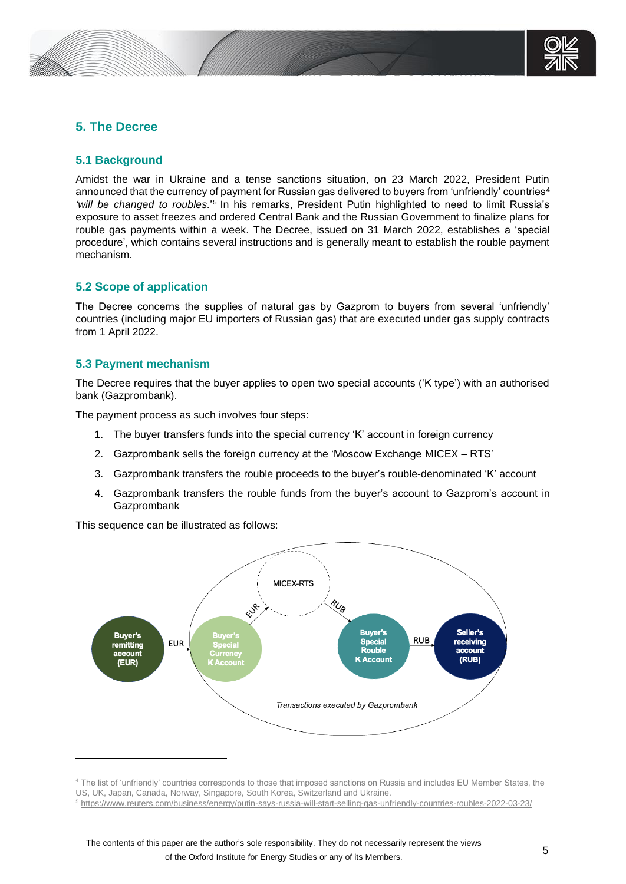

# **5. The Decree**

### **5.1 Background**

Amidst the war in Ukraine and a tense sanctions situation, on 23 March 2022, President Putin announced that the currency of payment for Russian gas delivered to buyers from 'unfriendly' countries<sup>4</sup> 'will be changed to roubles.'<sup>5</sup> In his remarks, President Putin highlighted to need to limit Russia's exposure to asset freezes and ordered Central Bank and the Russian Government to finalize plans for rouble gas payments within a week. The Decree, issued on 31 March 2022, establishes a 'special procedure', which contains several instructions and is generally meant to establish the rouble payment mechanism.

### **5.2 Scope of application**

The Decree concerns the supplies of natural gas by Gazprom to buyers from several 'unfriendly' countries (including major EU importers of Russian gas) that are executed under gas supply contracts from 1 April 2022.

### **5.3 Payment mechanism**

The Decree requires that the buyer applies to open two special accounts ('K type') with an authorised bank (Gazprombank).

The payment process as such involves four steps:

- 1. The buyer transfers funds into the special currency 'K' account in foreign currency
- 2. Gazprombank sells the foreign currency at the 'Moscow Exchange MICEX RTS'
- 3. Gazprombank transfers the rouble proceeds to the buyer's rouble-denominated 'K' account
- 4. Gazprombank transfers the rouble funds from the buyer's account to Gazprom's account in Gazprombank

This sequence can be illustrated as follows:



<sup>4</sup> The list of 'unfriendly' countries corresponds to those that imposed sanctions on Russia and includes EU Member States, the US, UK, Japan, Canada, Norway, Singapore, South Korea, Switzerland and Ukraine.

<sup>5</sup> [https://www.reuters.com/business/energy/putin-says-russia-will-start-selling-gas-unfriendly-countries-roubles-2022-03-23/](about:blank)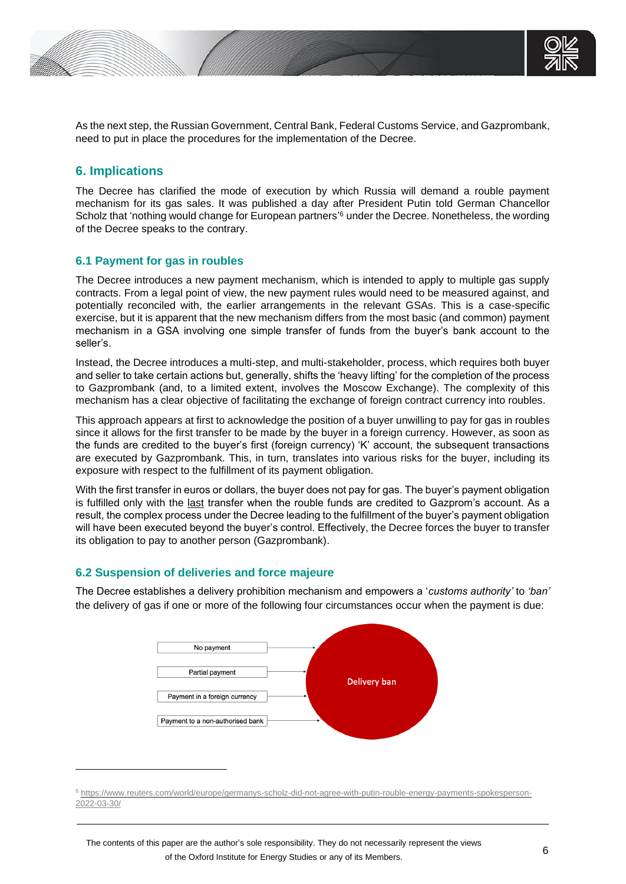

As the next step, the Russian Government, Central Bank, Federal Customs Service, and Gazprombank, need to put in place the procedures for the implementation of the Decree.

# **6. Implications**

The Decree has clarified the mode of execution by which Russia will demand a rouble payment mechanism for its gas sales. It was published a day after President Putin told German Chancellor Scholz that 'nothing would change for European partners'<sup>6</sup> under the Decree. Nonetheless, the wording of the Decree speaks to the contrary.

### **6.1 Payment for gas in roubles**

The Decree introduces a new payment mechanism, which is intended to apply to multiple gas supply contracts. From a legal point of view, the new payment rules would need to be measured against, and potentially reconciled with, the earlier arrangements in the relevant GSAs. This is a case-specific exercise, but it is apparent that the new mechanism differs from the most basic (and common) payment mechanism in a GSA involving one simple transfer of funds from the buyer's bank account to the seller's.

Instead, the Decree introduces a multi-step, and multi-stakeholder, process, which requires both buyer and seller to take certain actions but, generally, shifts the 'heavy lifting' for the completion of the process to Gazprombank (and, to a limited extent, involves the Moscow Exchange). The complexity of this mechanism has a clear objective of facilitating the exchange of foreign contract currency into roubles.

This approach appears at first to acknowledge the position of a buyer unwilling to pay for gas in roubles since it allows for the first transfer to be made by the buyer in a foreign currency. However, as soon as the funds are credited to the buyer's first (foreign currency) 'K' account, the subsequent transactions are executed by Gazprombank. This, in turn, translates into various risks for the buyer, including its exposure with respect to the fulfillment of its payment obligation.

With the first transfer in euros or dollars, the buyer does not pay for gas. The buyer's payment obligation is fulfilled only with the last transfer when the rouble funds are credited to Gazprom's account. As a result, the complex process under the Decree leading to the fulfillment of the buyer's payment obligation will have been executed beyond the buyer's control. Effectively, the Decree forces the buyer to transfer its obligation to pay to another person (Gazprombank).

### **6.2 Suspension of deliveries and force majeure**

The Decree establishes a delivery prohibition mechanism and empowers a '*customs authority'* to *'ban'* the delivery of gas if one or more of the following four circumstances occur when the payment is due:



<sup>6</sup> [https://www.reuters.com/world/europe/germanys-scholz-did-not-agree-with-putin-rouble-energy-payments-spokesperson-](about:blank)[2022-03-30/](about:blank)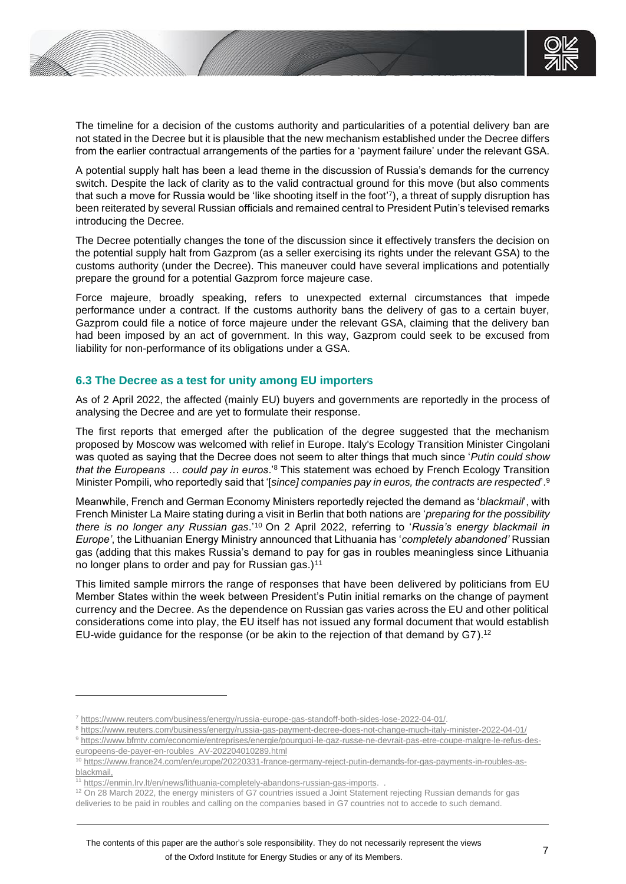

The timeline for a decision of the customs authority and particularities of a potential delivery ban are not stated in the Decree but it is plausible that the new mechanism established under the Decree differs from the earlier contractual arrangements of the parties for a 'payment failure' under the relevant GSA.

A potential supply halt has been a lead theme in the discussion of Russia's demands for the currency switch. Despite the lack of clarity as to the valid contractual ground for this move (but also comments that such a move for Russia would be 'like shooting itself in the foot' 7 ), a threat of supply disruption has been reiterated by several Russian officials and remained central to President Putin's televised remarks introducing the Decree.

The Decree potentially changes the tone of the discussion since it effectively transfers the decision on the potential supply halt from Gazprom (as a seller exercising its rights under the relevant GSA) to the customs authority (under the Decree). This maneuver could have several implications and potentially prepare the ground for a potential Gazprom force majeure case.

Force majeure, broadly speaking, refers to unexpected external circumstances that impede performance under a contract. If the customs authority bans the delivery of gas to a certain buyer, Gazprom could file a notice of force majeure under the relevant GSA, claiming that the delivery ban had been imposed by an act of government. In this way, Gazprom could seek to be excused from liability for non-performance of its obligations under a GSA.

### **6.3 The Decree as a test for unity among EU importers**

As of 2 April 2022, the affected (mainly EU) buyers and governments are reportedly in the process of analysing the Decree and are yet to formulate their response.

The first reports that emerged after the publication of the degree suggested that the mechanism proposed by Moscow was welcomed with relief in Europe. Italy's Ecology Transition Minister Cingolani was quoted as saying that the Decree does not seem to alter things that much since '*Putin could show that the Europeans … could pay in euros*.'<sup>8</sup> This statement was echoed by French Ecology Transition Minister Pompili, who reportedly said that '[*since] companies pay in euros, the contracts are respected*'.<sup>9</sup>

Meanwhile, French and German Economy Ministers reportedly rejected the demand as '*blackmail*', with French Minister La Maire stating during a visit in Berlin that both nations are '*preparing for the possibility there is no longer any Russian gas*.'<sup>10</sup> On 2 April 2022, referring to '*Russia's energy blackmail in Europe'*, the Lithuanian Energy Ministry announced that Lithuania has '*completely abandoned'* Russian gas (adding that this makes Russia's demand to pay for gas in roubles meaningless since Lithuania no longer plans to order and pay for Russian gas.)<sup>11</sup>

This limited sample mirrors the range of responses that have been delivered by politicians from EU Member States within the week between President's Putin initial remarks on the change of payment currency and the Decree. As the dependence on Russian gas varies across the EU and other political considerations come into play, the EU itself has not issued any formal document that would establish EU-wide guidance for the response (or be akin to the rejection of that demand by  $G7$ ).<sup>12</sup>

<sup>7</sup> [https://www.reuters.com/business/energy/russia-europe-gas-standoff-both-sides-lose-2022-04-01/.](about:blank)

<sup>8</sup> [https://www.reuters.com/business/energy/russia-gas-payment-decree-does-not-change-much-italy-minister-2022-04-01/](about:blank)

<sup>9</sup> [https://www.bfmtv.com/economie/entreprises/energie/pourquoi-le-gaz-russe-ne-devrait-pas-etre-coupe-malgre-le-refus-des](https://www.bfmtv.com/economie/entreprises/energie/pourquoi-le-gaz-russe-ne-devrait-pas-etre-coupe-malgre-le-refus-des-europeens-de-payer-en-roubles_AV-202204010289.html)[europeens-de-payer-en-roubles\\_AV-202204010289.html](https://www.bfmtv.com/economie/entreprises/energie/pourquoi-le-gaz-russe-ne-devrait-pas-etre-coupe-malgre-le-refus-des-europeens-de-payer-en-roubles_AV-202204010289.html)

<sup>&</sup>lt;sup>10</sup> [https://www.france24.com/en/europe/20220331-france-germany-reject-putin-demands-for-gas-payments-in-roubles-as](about:blank)[blackmail,](about:blank) 

<sup>11</sup> [https://enmin.lrv.lt/en/news/lithuania-completely-abandons-russian-gas-imports.](about:blank)

<sup>&</sup>lt;sup>12</sup> On 28 March 2022, the energy ministers of G7 countries issued a Joint Statement rejecting Russian demands for gas deliveries to be paid in roubles and calling on the companies based in G7 countries not to accede to such demand.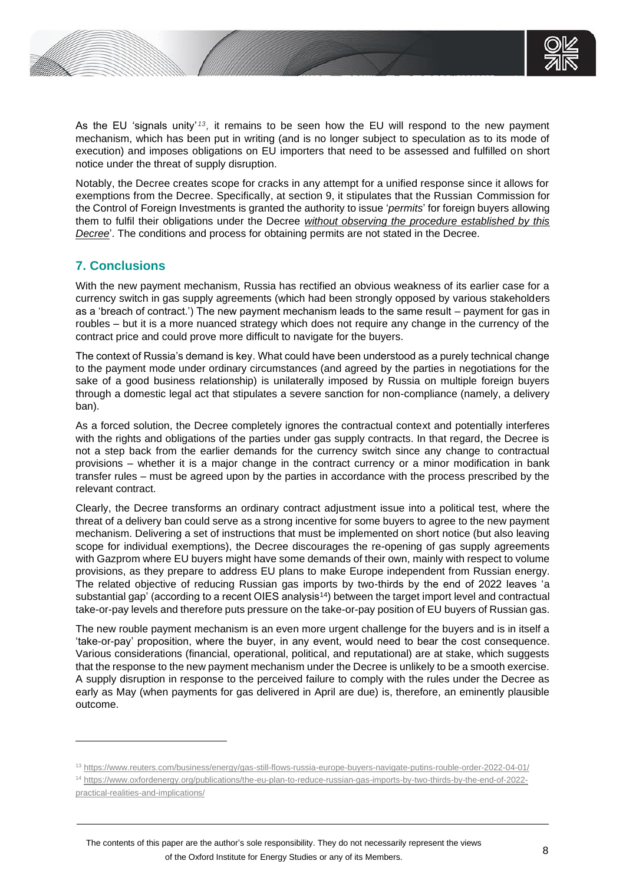

As the EU 'signals unity' <sup>13</sup>, it remains to be seen how the EU will respond to the new payment mechanism, which has been put in writing (and is no longer subject to speculation as to its mode of execution) and imposes obligations on EU importers that need to be assessed and fulfilled on short notice under the threat of supply disruption.

Notably, the Decree creates scope for cracks in any attempt for a unified response since it allows for exemptions from the Decree. Specifically, at section 9, it stipulates that the Russian Commission for the Control of Foreign Investments is granted the authority to issue '*permits*' for foreign buyers allowing them to fulfil their obligations under the Decree *without observing the procedure established by this Decree*'. The conditions and process for obtaining permits are not stated in the Decree.

# **7. Conclusions**

With the new payment mechanism, Russia has rectified an obvious weakness of its earlier case for a currency switch in gas supply agreements (which had been strongly opposed by various stakeholders as a 'breach of contract.') The new payment mechanism leads to the same result – payment for gas in roubles – but it is a more nuanced strategy which does not require any change in the currency of the contract price and could prove more difficult to navigate for the buyers.

The context of Russia's demand is key. What could have been understood as a purely technical change to the payment mode under ordinary circumstances (and agreed by the parties in negotiations for the sake of a good business relationship) is unilaterally imposed by Russia on multiple foreign buyers through a domestic legal act that stipulates a severe sanction for non-compliance (namely, a delivery ban).

As a forced solution, the Decree completely ignores the contractual context and potentially interferes with the rights and obligations of the parties under gas supply contracts. In that regard, the Decree is not a step back from the earlier demands for the currency switch since any change to contractual provisions – whether it is a major change in the contract currency or a minor modification in bank transfer rules – must be agreed upon by the parties in accordance with the process prescribed by the relevant contract.

Clearly, the Decree transforms an ordinary contract adjustment issue into a political test, where the threat of a delivery ban could serve as a strong incentive for some buyers to agree to the new payment mechanism. Delivering a set of instructions that must be implemented on short notice (but also leaving scope for individual exemptions), the Decree discourages the re-opening of gas supply agreements with Gazprom where EU buyers might have some demands of their own, mainly with respect to volume provisions, as they prepare to address EU plans to make Europe independent from Russian energy. The related objective of reducing Russian gas imports by two-thirds by the end of 2022 leaves 'a substantial gap' (according to a recent OIES analysis<sup>14</sup>) between the target import level and contractual take-or-pay levels and therefore puts pressure on the take-or-pay position of EU buyers of Russian gas.

The new rouble payment mechanism is an even more urgent challenge for the buyers and is in itself a 'take-or-pay' proposition, where the buyer, in any event, would need to bear the cost consequence. Various considerations (financial, operational, political, and reputational) are at stake, which suggests that the response to the new payment mechanism under the Decree is unlikely to be a smooth exercise. A supply disruption in response to the perceived failure to comply with the rules under the Decree as early as May (when payments for gas delivered in April are due) is, therefore, an eminently plausible outcome.

<sup>13</sup> <https://www.reuters.com/business/energy/gas-still-flows-russia-europe-buyers-navigate-putins-rouble-order-2022-04-01/>

<sup>14</sup> [https://www.oxfordenergy.org/publications/the-eu-plan-to-reduce-russian-gas-imports-by-two-thirds-by-the-end-of-2022-](https://www.oxfordenergy.org/publications/the-eu-plan-to-reduce-russian-gas-imports-by-two-thirds-by-the-end-of-2022-practical-realities-and-implications/)

[practical-realities-and-implications/](https://www.oxfordenergy.org/publications/the-eu-plan-to-reduce-russian-gas-imports-by-two-thirds-by-the-end-of-2022-practical-realities-and-implications/)

The contents of this paper are the author's sole responsibility. They do not necessarily represent the views of the Oxford Institute for Energy Studies or any of its Members.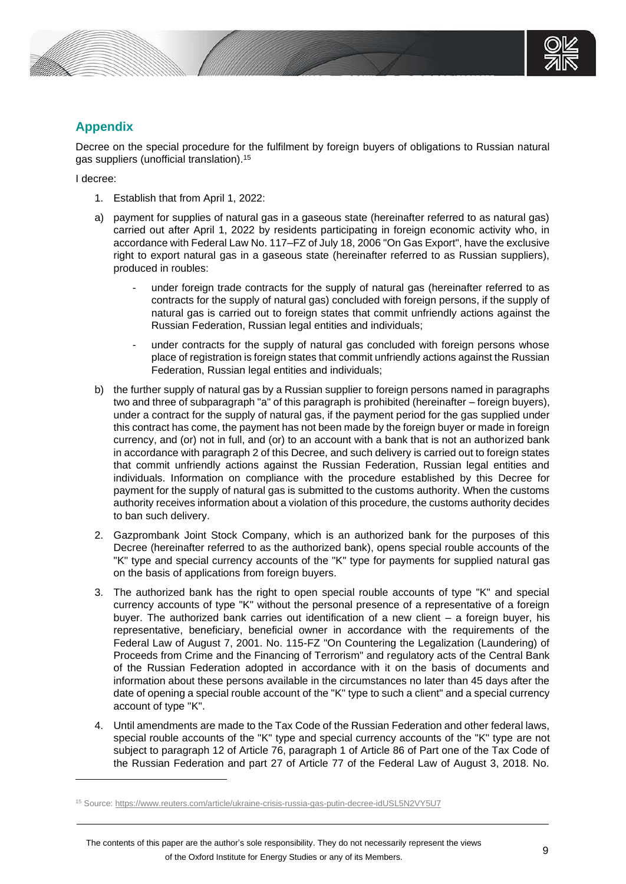

# **Appendix**

Decree on the special procedure for the fulfilment by foreign buyers of obligations to Russian natural gas suppliers (unofficial translation).<sup>15</sup>

I decree:

- 1. Establish that from April 1, 2022:
- a) payment for supplies of natural gas in a gaseous state (hereinafter referred to as natural gas) carried out after April 1, 2022 by residents participating in foreign economic activity who, in accordance with Federal Law No. 117–FZ of July 18, 2006 "On Gas Export", have the exclusive right to export natural gas in a gaseous state (hereinafter referred to as Russian suppliers), produced in roubles:
	- under foreign trade contracts for the supply of natural gas (hereinafter referred to as contracts for the supply of natural gas) concluded with foreign persons, if the supply of natural gas is carried out to foreign states that commit unfriendly actions against the Russian Federation, Russian legal entities and individuals;
	- under contracts for the supply of natural gas concluded with foreign persons whose place of registration is foreign states that commit unfriendly actions against the Russian Federation, Russian legal entities and individuals;
- b) the further supply of natural gas by a Russian supplier to foreign persons named in paragraphs two and three of subparagraph "a" of this paragraph is prohibited (hereinafter – foreign buyers), under a contract for the supply of natural gas, if the payment period for the gas supplied under this contract has come, the payment has not been made by the foreign buyer or made in foreign currency, and (or) not in full, and (or) to an account with a bank that is not an authorized bank in accordance with paragraph 2 of this Decree, and such delivery is carried out to foreign states that commit unfriendly actions against the Russian Federation, Russian legal entities and individuals. Information on compliance with the procedure established by this Decree for payment for the supply of natural gas is submitted to the customs authority. When the customs authority receives information about a violation of this procedure, the customs authority decides to ban such delivery.
- 2. Gazprombank Joint Stock Company, which is an authorized bank for the purposes of this Decree (hereinafter referred to as the authorized bank), opens special rouble accounts of the "K" type and special currency accounts of the "K" type for payments for supplied natural gas on the basis of applications from foreign buyers.
- 3. The authorized bank has the right to open special rouble accounts of type "K" and special currency accounts of type "K" without the personal presence of a representative of a foreign buyer. The authorized bank carries out identification of a new client – a foreign buyer, his representative, beneficiary, beneficial owner in accordance with the requirements of the Federal Law of August 7, 2001. No. 115-FZ "On Countering the Legalization (Laundering) of Proceeds from Crime and the Financing of Terrorism" and regulatory acts of the Central Bank of the Russian Federation adopted in accordance with it on the basis of documents and information about these persons available in the circumstances no later than 45 days after the date of opening a special rouble account of the "K" type to such a client" and a special currency account of type "K".
- 4. Until amendments are made to the Tax Code of the Russian Federation and other federal laws, special rouble accounts of the "K" type and special currency accounts of the "K" type are not subject to paragraph 12 of Article 76, paragraph 1 of Article 86 of Part one of the Tax Code of the Russian Federation and part 27 of Article 77 of the Federal Law of August 3, 2018. No.

The contents of this paper are the author's sole responsibility. They do not necessarily represent the views of the Oxford Institute for Energy Studies or any of its Members.

<sup>15</sup> Source[: https://www.reuters.com/article/ukraine-crisis-russia-gas-putin-decree-idUSL5N2VY5U7](about:blank)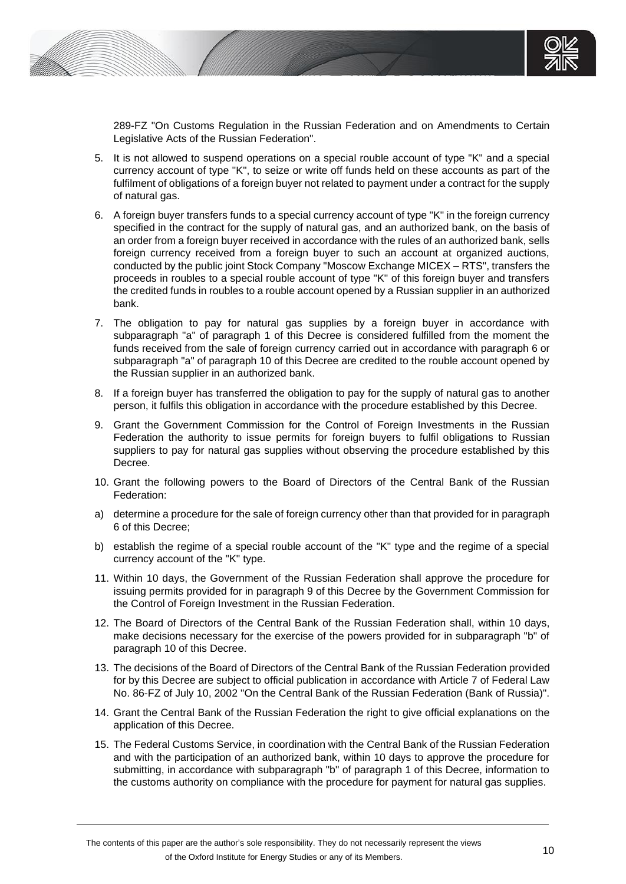

289-FZ "On Customs Regulation in the Russian Federation and on Amendments to Certain Legislative Acts of the Russian Federation".

- 5. It is not allowed to suspend operations on a special rouble account of type "K" and a special currency account of type "K", to seize or write off funds held on these accounts as part of the fulfilment of obligations of a foreign buyer not related to payment under a contract for the supply of natural gas.
- 6. A foreign buyer transfers funds to a special currency account of type "K" in the foreign currency specified in the contract for the supply of natural gas, and an authorized bank, on the basis of an order from a foreign buyer received in accordance with the rules of an authorized bank, sells foreign currency received from a foreign buyer to such an account at organized auctions, conducted by the public joint Stock Company "Moscow Exchange MICEX – RTS", transfers the proceeds in roubles to a special rouble account of type "K" of this foreign buyer and transfers the credited funds in roubles to a rouble account opened by a Russian supplier in an authorized bank.
- 7. The obligation to pay for natural gas supplies by a foreign buyer in accordance with subparagraph "a" of paragraph 1 of this Decree is considered fulfilled from the moment the funds received from the sale of foreign currency carried out in accordance with paragraph 6 or subparagraph "a" of paragraph 10 of this Decree are credited to the rouble account opened by the Russian supplier in an authorized bank.
- 8. If a foreign buyer has transferred the obligation to pay for the supply of natural gas to another person, it fulfils this obligation in accordance with the procedure established by this Decree.
- 9. Grant the Government Commission for the Control of Foreign Investments in the Russian Federation the authority to issue permits for foreign buyers to fulfil obligations to Russian suppliers to pay for natural gas supplies without observing the procedure established by this Decree.
- 10. Grant the following powers to the Board of Directors of the Central Bank of the Russian Federation:
- a) determine a procedure for the sale of foreign currency other than that provided for in paragraph 6 of this Decree;
- b) establish the regime of a special rouble account of the "K" type and the regime of a special currency account of the "K" type.
- 11. Within 10 days, the Government of the Russian Federation shall approve the procedure for issuing permits provided for in paragraph 9 of this Decree by the Government Commission for the Control of Foreign Investment in the Russian Federation.
- 12. The Board of Directors of the Central Bank of the Russian Federation shall, within 10 days, make decisions necessary for the exercise of the powers provided for in subparagraph "b" of paragraph 10 of this Decree.
- 13. The decisions of the Board of Directors of the Central Bank of the Russian Federation provided for by this Decree are subject to official publication in accordance with Article 7 of Federal Law No. 86-FZ of July 10, 2002 "On the Central Bank of the Russian Federation (Bank of Russia)".
- 14. Grant the Central Bank of the Russian Federation the right to give official explanations on the application of this Decree.
- 15. The Federal Customs Service, in coordination with the Central Bank of the Russian Federation and with the participation of an authorized bank, within 10 days to approve the procedure for submitting, in accordance with subparagraph "b" of paragraph 1 of this Decree, information to the customs authority on compliance with the procedure for payment for natural gas supplies.